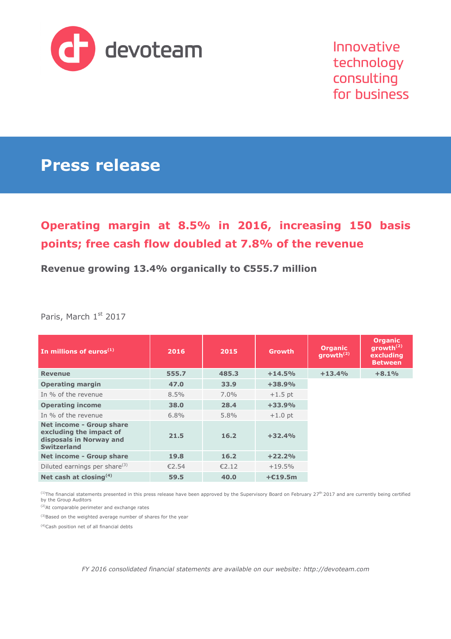

Innovative technology consulting for business

# **Press release**

## **Operating margin at 8.5% in 2016, increasing 150 basis points; free cash flow doubled at 7.8% of the revenue**

### **Revenue growing 13.4% organically to €555.7 million**

Paris, March 1st 2017

| In millions of euros $(1)$                                                                                  | 2016    | 2015    | <b>Growth</b> | <b>Organic</b><br>growth $(2)$ | <b>Organic</b><br>growth $(2)$<br>excluding<br><b>Between</b> |
|-------------------------------------------------------------------------------------------------------------|---------|---------|---------------|--------------------------------|---------------------------------------------------------------|
| <b>Revenue</b>                                                                                              | 555.7   | 485.3   | $+14.5%$      | $+13.4%$                       | $+8.1%$                                                       |
| <b>Operating margin</b>                                                                                     | 47.0    | 33.9    | $+38.9%$      |                                |                                                               |
| In % of the revenue                                                                                         | $8.5\%$ | $7.0\%$ | $+1.5$ pt     |                                |                                                               |
| <b>Operating income</b>                                                                                     | 38.0    | 28.4    | $+33.9%$      |                                |                                                               |
| In % of the revenue                                                                                         | 6.8%    | $5.8\%$ | $+1.0$ pt     |                                |                                                               |
| <b>Net income - Group share</b><br>excluding the impact of<br>disposals in Norway and<br><b>Switzerland</b> | 21.5    | 16.2    | $+32.4%$      |                                |                                                               |
| <b>Net income - Group share</b>                                                                             | 19.8    | 16.2    | $+22.2%$      |                                |                                                               |
| Diluted earnings per share <sup>(3)</sup>                                                                   | £2.54   | E2.12   | $+19.5%$      |                                |                                                               |
| Net cash at closing $(4)$                                                                                   | 59.5    | 40.0    | $+E19.5m$     |                                |                                                               |

<sup>(1)</sup>The financial statements presented in this press release have been approved by the Supervisory Board on February 27<sup>th</sup> 2017 and are currently being certified by the Group Auditors

(2)At comparable perimeter and exchange rates

(3)Based on the weighted average number of shares for the year

(4)Cash position net of all financial debts

*FY 2016 consolidated financial statements are available on our website: http://devoteam.com*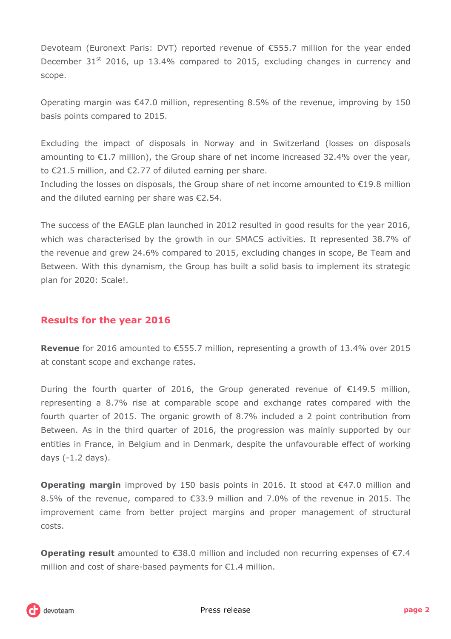Devoteam (Euronext Paris: DVT) reported revenue of €555.7 million for the year ended December 31<sup>st</sup> 2016, up 13.4% compared to 2015, excluding changes in currency and scope.

Operating margin was  $\epsilon$ 47.0 million, representing 8.5% of the revenue, improving by 150 basis points compared to 2015.

Excluding the impact of disposals in Norway and in Switzerland (losses on disposals amounting to  $\epsilon$ 1.7 million), the Group share of net income increased 32.4% over the year, to €21.5 million, and €2.77 of diluted earning per share.

Including the losses on disposals, the Group share of net income amounted to €19.8 million and the diluted earning per share was €2.54.

The success of the EAGLE plan launched in 2012 resulted in good results for the year 2016, which was characterised by the growth in our SMACS activities. It represented 38.7% of the revenue and grew 24.6% compared to 2015, excluding changes in scope, Be Team and Between. With this dynamism, the Group has built a solid basis to implement its strategic plan for 2020: Scale!.

### **Results for the year 2016**

**Revenue** for 2016 amounted to €555.7 million, representing a growth of 13.4% over 2015 at constant scope and exchange rates.

During the fourth quarter of 2016, the Group generated revenue of  $E$ 149.5 million, representing a 8.7% rise at comparable scope and exchange rates compared with the fourth quarter of 2015. The organic growth of 8.7% included a 2 point contribution from Between. As in the third quarter of 2016, the progression was mainly supported by our entities in France, in Belgium and in Denmark, despite the unfavourable effect of working days (-1.2 days).

**Operating margin** improved by 150 basis points in 2016. It stood at €47.0 million and 8.5% of the revenue, compared to €33.9 million and 7.0% of the revenue in 2015. The improvement came from better project margins and proper management of structural costs.

**Operating result** amounted to €38.0 million and included non recurring expenses of €7.4 million and cost of share-based payments for €1.4 million.

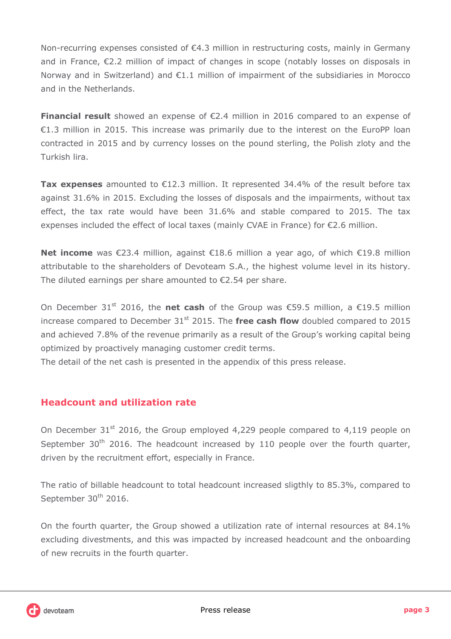Non-recurring expenses consisted of €4.3 million in restructuring costs, mainly in Germany and in France, €2.2 million of impact of changes in scope (notably losses on disposals in Norway and in Switzerland) and €1.1 million of impairment of the subsidiaries in Morocco and in the Netherlands.

**Financial result** showed an expense of €2.4 million in 2016 compared to an expense of €1.3 million in 2015. This increase was primarily due to the interest on the EuroPP loan contracted in 2015 and by currency losses on the pound sterling, the Polish zloty and the Turkish lira.

**Tax expenses** amounted to €12.3 million. It represented 34.4% of the result before tax against 31.6% in 2015. Excluding the losses of disposals and the impairments, without tax effect, the tax rate would have been 31.6% and stable compared to 2015. The tax expenses included the effect of local taxes (mainly CVAE in France) for €2.6 million.

**Net income** was €23.4 million, against €18.6 million a year ago, of which €19.8 million attributable to the shareholders of Devoteam S.A., the highest volume level in its history. The diluted earnings per share amounted to €2.54 per share.

On December 31<sup>st</sup> 2016, the **net cash** of the Group was €59.5 million, a €19.5 million increase compared to December 31<sup>st</sup> 2015. The free cash flow doubled compared to 2015 and achieved 7.8% of the revenue primarily as a result of the Group's working capital being optimized by proactively managing customer credit terms.

The detail of the net cash is presented in the appendix of this press release.

## **Headcount and utilization rate**

On December 31<sup>st</sup> 2016, the Group employed 4,229 people compared to 4,119 people on September  $30<sup>th</sup>$  2016. The headcount increased by 110 people over the fourth quarter, driven by the recruitment effort, especially in France.

The ratio of billable headcount to total headcount increased sligthly to 85.3%, compared to September 30<sup>th</sup> 2016.

On the fourth quarter, the Group showed a utilization rate of internal resources at 84.1% excluding divestments, and this was impacted by increased headcount and the onboarding of new recruits in the fourth quarter.

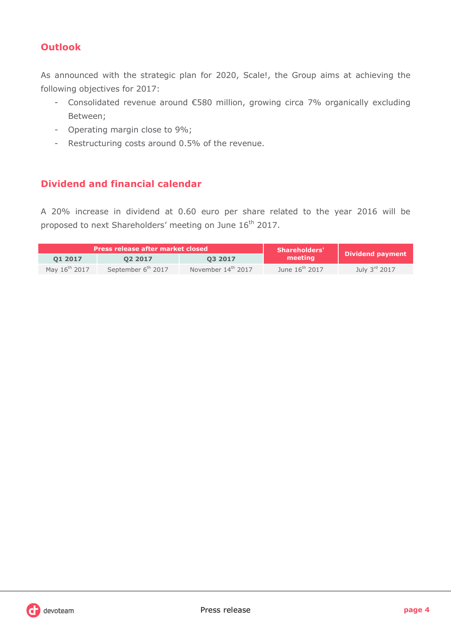## **Outlook**

As announced with the strategic plan for 2020, Scale!, the Group aims at achieving the following objectives for 2017:

- Consolidated revenue around €580 million, growing circa 7% organically excluding Between;
- Operating margin close to 9%;
- Restructuring costs around 0.5% of the revenue.

### **Dividend and financial calendar**

A 20% increase in dividend at 0.60 euro per share related to the year 2016 will be proposed to next Shareholders' meeting on June 16<sup>th</sup> 2017.

|                           | Press release after market closed | <b>Shareholders'</b> | <b>Dividend payment</b>    |                 |  |
|---------------------------|-----------------------------------|----------------------|----------------------------|-----------------|--|
| 01 2017                   | 02 2017                           | 03 2017              | meeting                    |                 |  |
| May 16 <sup>th</sup> 2017 | September 6 <sup>th</sup> 2017    | November 14th 2017   | June 16 <sup>th</sup> 2017 | July $3rd$ 2017 |  |

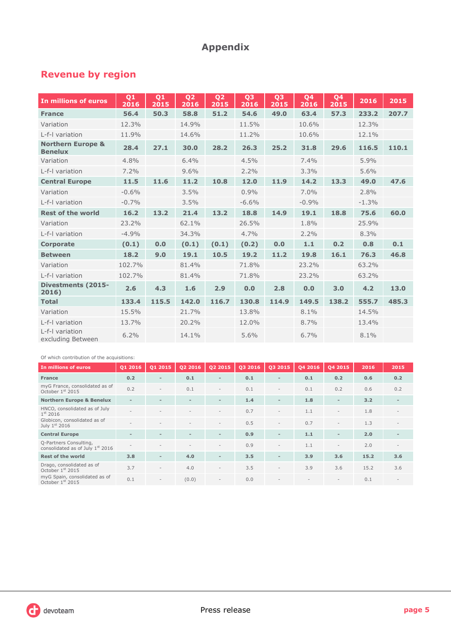## **Appendix**

## **Revenue by region**

| In millions of euros                           | Q1<br>2016 | Q1<br>2015 | Q <sub>2</sub><br>2016 | Q <sub>2</sub><br>2015 | Q <sub>3</sub><br>2016 | Q <sub>3</sub><br>2015 | Q4<br>2016 | Q4<br>2015 | 2016    | 2015  |
|------------------------------------------------|------------|------------|------------------------|------------------------|------------------------|------------------------|------------|------------|---------|-------|
| <b>France</b>                                  | 56.4       | 50.3       | 58.8                   | 51.2                   | 54.6                   | 49.0                   | 63.4       | 57.3       | 233.2   | 207.7 |
| Variation                                      | 12.3%      |            | 14.9%                  |                        | 11.5%                  |                        | 10.6%      |            | 12.3%   |       |
| L-f-I variation                                | 11.9%      |            | 14.6%                  |                        | 11.2%                  |                        | 10.6%      |            | 12.1%   |       |
| <b>Northern Europe &amp;</b><br><b>Benelux</b> | 28.4       | 27.1       | 30.0                   | 28.2                   | 26.3                   | 25.2                   | 31.8       | 29.6       | 116.5   | 110.1 |
| Variation                                      | 4.8%       |            | 6.4%                   |                        | 4.5%                   |                        | 7.4%       |            | 5.9%    |       |
| L-f-I variation                                | 7.2%       |            | 9.6%                   |                        | 2.2%                   |                        | 3.3%       |            | 5.6%    |       |
| <b>Central Europe</b>                          | 11.5       | 11.6       | 11.2                   | 10.8                   | 12.0                   | 11.9                   | 14.2       | 13.3       | 49.0    | 47.6  |
| Variation                                      | $-0.6%$    |            | 3.5%                   |                        | 0.9%                   |                        | 7.0%       |            | 2.8%    |       |
| L-f-I variation                                | $-0.7%$    |            | 3.5%                   |                        | $-6.6%$                |                        | $-0.9%$    |            | $-1.3%$ |       |
| <b>Rest of the world</b>                       | 16.2       | 13.2       | 21.4                   | 13.2                   | 18.8                   | 14.9                   | 19.1       | 18.8       | 75.6    | 60.0  |
| Variation                                      | 23.2%      |            | 62.1%                  |                        | 26.5%                  |                        | 1.8%       |            | 25.9%   |       |
| L-f-I variation                                | $-4.9%$    |            | 34.3%                  |                        | 4.7%                   |                        | 2.2%       |            | 8.3%    |       |
| <b>Corporate</b>                               | (0.1)      | 0.0        | (0.1)                  | (0.1)                  | (0.2)                  | 0.0                    | $1.1$      | 0.2        | 0.8     | 0.1   |
| <b>Between</b>                                 | 18.2       | 9.0        | 19.1                   | 10.5                   | 19.2                   | 11.2                   | 19.8       | 16.1       | 76.3    | 46.8  |
| Variation                                      | 102.7%     |            | 81.4%                  |                        | 71.8%                  |                        | 23.2%      |            | 63.2%   |       |
| L-f-I variation                                | 102.7%     |            | 81.4%                  |                        | 71.8%                  |                        | 23.2%      |            | 63.2%   |       |
| <b>Divestments (2015-</b><br>2016)             | 2.6        | 4.3        | 1.6                    | 2.9                    | 0.0                    | 2.8                    | 0.0        | 3.0        | 4.2     | 13.0  |
| <b>Total</b>                                   | 133.4      | 115.5      | 142.0                  | 116.7                  | 130.8                  | 114.9                  | 149.5      | 138.2      | 555.7   | 485.3 |
| Variation                                      | 15.5%      |            | 21.7%                  |                        | 13.8%                  |                        | 8.1%       |            | 14.5%   |       |
| L-f-I variation                                | 13.7%      |            | 20.2%                  |                        | 12.0%                  |                        | 8.7%       |            | 13.4%   |       |
| L-f-I variation<br>excluding Between           | 6.2%       |            | 14.1%                  |                        | 5.6%                   |                        | 6.7%       |            | 8.1%    |       |

#### Of which contribution of the acquisitions:

| In millions of euros                                       | 01 2016                  | Q1 2015                  | Q22016                   | Q2 2015                  | Q3 2016 | Q3 2015                  | 04 2016 | 04 2015                  | 2016 | 2015                     |
|------------------------------------------------------------|--------------------------|--------------------------|--------------------------|--------------------------|---------|--------------------------|---------|--------------------------|------|--------------------------|
| <b>France</b>                                              | 0.2                      | $\overline{\phantom{0}}$ | 0.1                      | $\overline{\phantom{0}}$ | 0.1     | $\overline{\phantom{0}}$ | 0.1     | 0.2                      | 0.6  | 0.2                      |
| myG France, consolidated as of<br>October 1st 2015         | 0.2                      | $\overline{\phantom{a}}$ | 0.1                      |                          | 0.1     |                          | 0.1     | 0.2                      | 0.6  | 0.2                      |
| <b>Northern Europe &amp; Benelux</b>                       | $\overline{\phantom{a}}$ | $\overline{\phantom{a}}$ | $\overline{\phantom{a}}$ | $\overline{a}$           | 1.4     | -                        | 1.8     | $\overline{\phantom{a}}$ | 3.2  | $\overline{\phantom{a}}$ |
| HNCO, consolidated as of July<br>$1^{st}$ 2016             |                          |                          |                          |                          | 0.7     |                          | 1.1     |                          | 1.8  |                          |
| Globicon, consolidated as of<br>July $1st$ 2016            | ۰                        |                          |                          | $\overline{\phantom{a}}$ | 0.5     | $\bar{ }$                | 0.7     |                          | 1.3  | $\overline{\phantom{a}}$ |
| <b>Central Europe</b>                                      | ۰                        | $\overline{\phantom{a}}$ | $\overline{\phantom{a}}$ | $\overline{\phantom{0}}$ | 0.9     | -                        | 1.1     | $\overline{\phantom{0}}$ | 2.0  |                          |
| Q-Partners Consulting,<br>consolidated as of July 1st 2016 | ۰                        |                          |                          | $\overline{\phantom{a}}$ | 0.9     | $\overline{\phantom{a}}$ | 1.1     | $\overline{\phantom{a}}$ | 2.0  | $\sim$                   |
| <b>Rest of the world</b>                                   | 3.8                      | $\overline{\phantom{0}}$ | 4.0                      | $\blacksquare$           | 3.5     | -                        | 3.9     | 3.6                      | 15.2 | 3.6                      |
| Drago, consolidated as of<br>October 1st 2015              | 3.7                      | $\overline{\phantom{a}}$ | 4.0                      | $\overline{\phantom{a}}$ | 3.5     | $\overline{\phantom{a}}$ | 3.9     | 3.6                      | 15.2 | 3.6                      |
| myG Spain, consolidated as of<br>October 1st 2015          | 0.1                      | $\overline{\phantom{a}}$ | (0.0)                    | $\overline{\phantom{a}}$ | 0.0     |                          |         |                          | 0.1  |                          |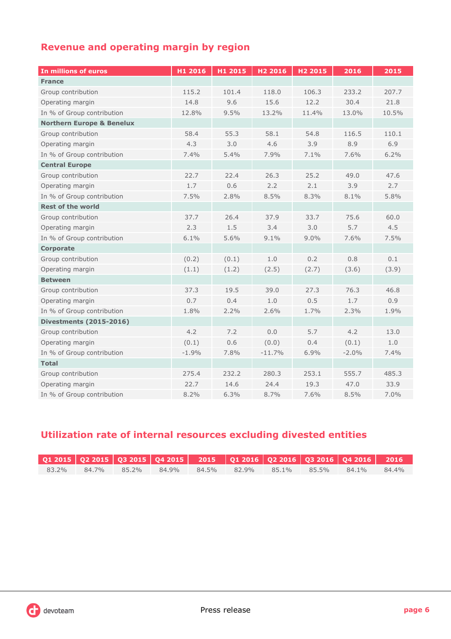## **Revenue and operating margin by region**

| In millions of euros                 | H1 2016 | H1 2015 | H <sub>2</sub> 2016 | H <sub>2</sub> 2015 | 2016    | 2015  |
|--------------------------------------|---------|---------|---------------------|---------------------|---------|-------|
| <b>France</b>                        |         |         |                     |                     |         |       |
| Group contribution                   | 115.2   | 101.4   | 118.0               | 106.3               | 233.2   | 207.7 |
| Operating margin                     | 14.8    | 9.6     | 15.6                | 12.2                | 30.4    | 21.8  |
| In % of Group contribution           | 12.8%   | 9.5%    | 13.2%               | 11.4%               | 13.0%   | 10.5% |
| <b>Northern Europe &amp; Benelux</b> |         |         |                     |                     |         |       |
| Group contribution                   | 58.4    | 55.3    | 58.1                | 54.8                | 116.5   | 110.1 |
| Operating margin                     | 4.3     | 3.0     | 4.6                 | 3.9                 | 8.9     | 6.9   |
| In % of Group contribution           | 7.4%    | 5.4%    | 7.9%                | 7.1%                | 7.6%    | 6.2%  |
| <b>Central Europe</b>                |         |         |                     |                     |         |       |
| Group contribution                   | 22.7    | 22.4    | 26.3                | 25.2                | 49.0    | 47.6  |
| Operating margin                     | 1.7     | 0.6     | 2.2                 | 2.1                 | 3.9     | 2.7   |
| In % of Group contribution           | 7.5%    | 2.8%    | 8.5%                | 8.3%                | 8.1%    | 5.8%  |
| <b>Rest of the world</b>             |         |         |                     |                     |         |       |
| Group contribution                   | 37.7    | 26.4    | 37.9                | 33.7                | 75.6    | 60.0  |
| Operating margin                     | 2.3     | 1.5     | 3.4                 | 3.0                 | 5.7     | 4.5   |
| In % of Group contribution           | 6.1%    | 5.6%    | 9.1%                | 9.0%                | 7.6%    | 7.5%  |
| <b>Corporate</b>                     |         |         |                     |                     |         |       |
| Group contribution                   | (0.2)   | (0.1)   | 1.0                 | 0.2                 | 0.8     | 0.1   |
| Operating margin                     | (1.1)   | (1.2)   | (2.5)               | (2.7)               | (3.6)   | (3.9) |
| <b>Between</b>                       |         |         |                     |                     |         |       |
| Group contribution                   | 37.3    | 19.5    | 39.0                | 27.3                | 76.3    | 46.8  |
| Operating margin                     | 0.7     | 0.4     | 1.0                 | 0.5                 | 1.7     | 0.9   |
| In % of Group contribution           | 1.8%    | 2.2%    | 2.6%                | 1.7%                | 2.3%    | 1.9%  |
| <b>Divestments (2015-2016)</b>       |         |         |                     |                     |         |       |
| Group contribution                   | 4.2     | 7.2     | 0.0                 | 5.7                 | 4.2     | 13.0  |
| Operating margin                     | (0.1)   | 0.6     | (0.0)               | 0.4                 | (0.1)   | 1.0   |
| In % of Group contribution           | $-1.9%$ | 7.8%    | $-11.7%$            | 6.9%                | $-2.0%$ | 7.4%  |
| <b>Total</b>                         |         |         |                     |                     |         |       |
| Group contribution                   | 275.4   | 232.2   | 280.3               | 253.1               | 555.7   | 485.3 |
| Operating margin                     | 22.7    | 14.6    | 24.4                | 19.3                | 47.0    | 33.9  |
| In % of Group contribution           | 8.2%    | 6.3%    | 8.7%                | 7.6%                | 8.5%    | 7.0%  |

## **Utilization rate of internal resources excluding divested entities**

|       |             |       |                         |  | Q1 2015   Q2 2015   Q3 2015   Q4 2015     2015     Q1 2016   Q2 2016   Q3 2016   Q4 2016      2016 |       |
|-------|-------------|-------|-------------------------|--|----------------------------------------------------------------------------------------------------|-------|
| 83.2% | 84.7% 85.2% | 84.9% | 84.5% 82.9% 85.1% 85.5% |  | $84.1\%$                                                                                           | 84.4% |

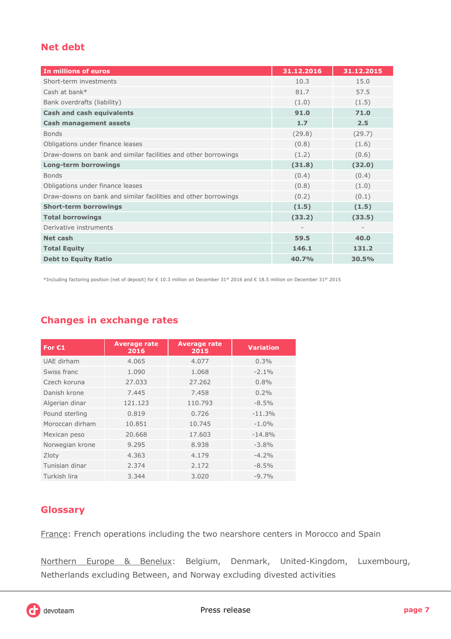## **Net debt**

| In millions of euros                                           | 31.12.2016        | 31.12.2015               |
|----------------------------------------------------------------|-------------------|--------------------------|
| Short-term investments                                         | 10.3              | 15.0                     |
| Cash at bank*                                                  | 81.7              | 57.5                     |
| Bank overdrafts (liability)                                    | (1.0)             | (1.5)                    |
| <b>Cash and cash equivalents</b>                               | 91.0              | 71.0                     |
| <b>Cash management assets</b>                                  | 1.7               | 2.5                      |
| <b>Bonds</b>                                                   | (29.8)            | (29.7)                   |
| Obligations under finance leases                               | (0.8)             | (1.6)                    |
| Draw-downs on bank and similar facilities and other borrowings | (1.2)             | (0.6)                    |
| <b>Long-term borrowings</b>                                    | (31.8)            | (32.0)                   |
| <b>Bonds</b>                                                   | (0.4)             | (0.4)                    |
| Obligations under finance leases                               | (0.8)             | (1.0)                    |
| Draw-downs on bank and similar facilities and other borrowings | (0.2)             | (0.1)                    |
| <b>Short-term borrowings</b>                                   | (1.5)             | (1.5)                    |
| <b>Total borrowings</b>                                        | (33.2)            | (33.5)                   |
| Derivative instruments                                         | $\qquad \qquad -$ | $\overline{\phantom{a}}$ |
| Net cash                                                       | 59.5              | 40.0                     |
| <b>Total Equity</b>                                            | 146.1             | 131.2                    |
| <b>Debt to Equity Ratio</b>                                    | 40.7%             | 30.5%                    |

\*Including factoring position (net of deposit) for € 10.3 million on December 31st 2016 and € 18.5 million on December 31st 2015

## **Changes in exchange rates**

| For $E1$        | <b>Average rate</b><br>2016 | <b>Average rate</b><br>2015 | <b>Variation</b> |
|-----------------|-----------------------------|-----------------------------|------------------|
| UAE dirham      | 4.065                       | 4.077                       | 0.3%             |
| Swiss franc     | 1.090                       | 1.068                       | $-2.1%$          |
| Czech koruna    | 27.033                      | 27.262                      | $0.8\%$          |
| Danish krone    | 7.445                       | 7.458                       | $0.2\%$          |
| Algerian dinar  | 121.123                     | 110.793                     | $-8.5\%$         |
| Pound sterling  | 0.819                       | 0.726                       | $-11.3%$         |
| Moroccan dirham | 10.851                      | 10.745                      | $-1.0\%$         |
| Mexican peso    | 20,668                      | 17.603                      | $-14.8%$         |
| Norwegian krone | 9.295                       | 8.938                       | $-3.8%$          |
| Zloty           | 4.363                       | 4.179                       | $-4.2%$          |
| Tunisian dinar  | 2.374                       | 2.172                       | $-8.5%$          |
| Turkish lira    | 3.344                       | 3.020                       | $-9.7\%$         |

### **Glossary**

France: French operations including the two nearshore centers in Morocco and Spain

Northern Europe & Benelux: Belgium, Denmark, United-Kingdom, Luxembourg, Netherlands excluding Between, and Norway excluding divested activities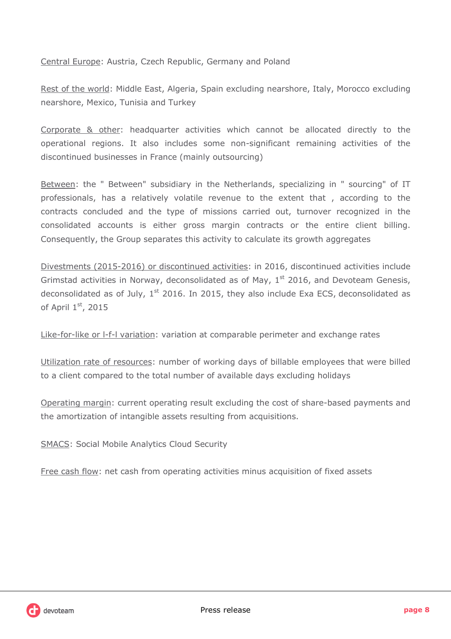Central Europe: Austria, Czech Republic, Germany and Poland

Rest of the world: Middle East, Algeria, Spain excluding nearshore, Italy, Morocco excluding nearshore, Mexico, Tunisia and Turkey

Corporate & other: headquarter activities which cannot be allocated directly to the operational regions. It also includes some non-significant remaining activities of the discontinued businesses in France (mainly outsourcing)

Between: the " Between" subsidiary in the Netherlands, specializing in " sourcing" of IT professionals, has a relatively volatile revenue to the extent that , according to the contracts concluded and the type of missions carried out, turnover recognized in the consolidated accounts is either gross margin contracts or the entire client billing. Consequently, the Group separates this activity to calculate its growth aggregates

Divestments (2015-2016) or discontinued activities: in 2016, discontinued activities include Grimstad activities in Norway, deconsolidated as of May,  $1<sup>st</sup>$  2016, and Devoteam Genesis, deconsolidated as of July,  $1<sup>st</sup>$  2016. In 2015, they also include Exa ECS, deconsolidated as of April  $1<sup>st</sup>$ , 2015

Like-for-like or l-f-l variation: variation at comparable perimeter and exchange rates

Utilization rate of resources: number of working days of billable employees that were billed to a client compared to the total number of available days excluding holidays

Operating margin: current operating result excluding the cost of share-based payments and the amortization of intangible assets resulting from acquisitions.

SMACS: Social Mobile Analytics Cloud Security

Free cash flow: net cash from operating activities minus acquisition of fixed assets